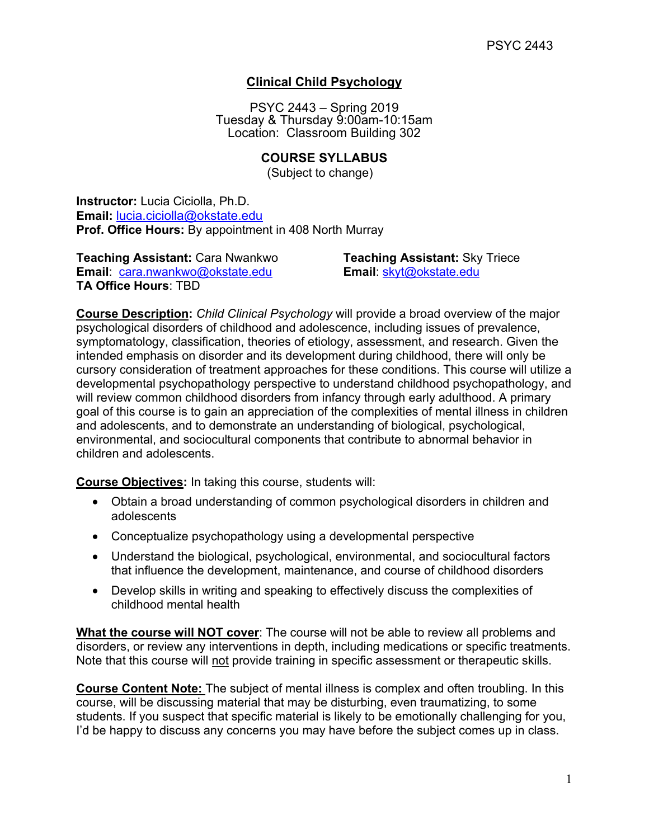# **Clinical Child Psychology**

PSYC 2443 – Spring 2019 Tuesday & Thursday 9:00am-10:15am Location: Classroom Building 302

## **COURSE SYLLABUS**

(Subject to change)

**Instructor:** Lucia Ciciolla, Ph.D. **Email:** [lucia.ciciolla@okstate.edu](mailto:lucia.ciciolla@okstate.edu) **Prof. Office Hours:** By appointment in 408 North Murray

**Teaching Assistant:** Cara Nwankwo **Teaching Assistant:** Sky Triece **Email**: [cara.nwankwo@okstate.edu](mailto:cara.nwankwo@okstate.edu) **Email**: [skyt@okstate.edu](mailto:skyt@okstate.edu) **TA Office Hours**: TBD

**Course Description:** *Child Clinical Psychology* will provide a broad overview of the major psychological disorders of childhood and adolescence, including issues of prevalence, symptomatology, classification, theories of etiology, assessment, and research. Given the intended emphasis on disorder and its development during childhood, there will only be cursory consideration of treatment approaches for these conditions. This course will utilize a developmental psychopathology perspective to understand childhood psychopathology, and will review common childhood disorders from infancy through early adulthood. A primary goal of this course is to gain an appreciation of the complexities of mental illness in children and adolescents, and to demonstrate an understanding of biological, psychological, environmental, and sociocultural components that contribute to abnormal behavior in children and adolescents.

**Course Objectives:** In taking this course, students will:

- Obtain a broad understanding of common psychological disorders in children and adolescents
- Conceptualize psychopathology using a developmental perspective
- Understand the biological, psychological, environmental, and sociocultural factors that influence the development, maintenance, and course of childhood disorders
- Develop skills in writing and speaking to effectively discuss the complexities of childhood mental health

**What the course will NOT cover**: The course will not be able to review all problems and disorders, or review any interventions in depth, including medications or specific treatments. Note that this course will not provide training in specific assessment or therapeutic skills.

**Course Content Note:** The subject of mental illness is complex and often troubling. In this course, will be discussing material that may be disturbing, even traumatizing, to some students. If you suspect that specific material is likely to be emotionally challenging for you, I'd be happy to discuss any concerns you may have before the subject comes up in class.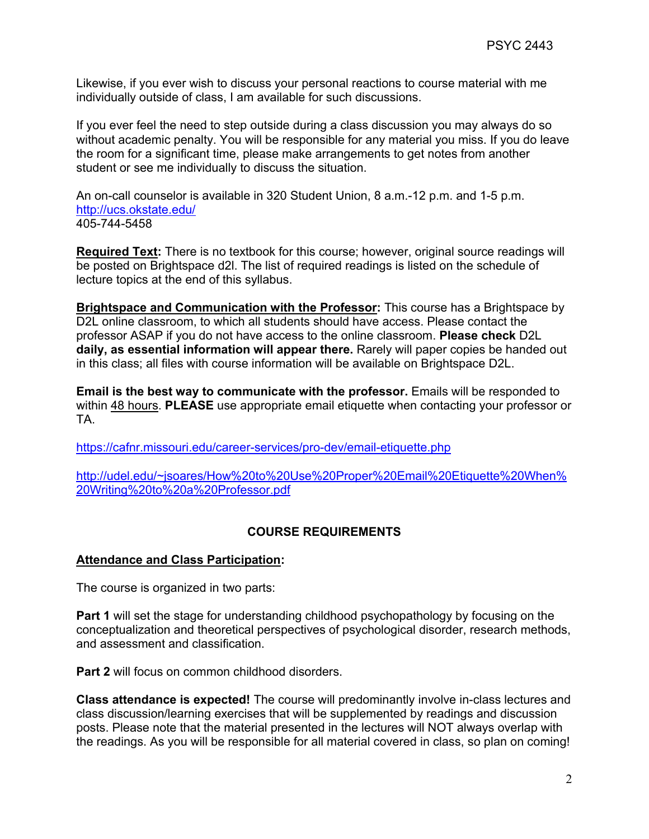Likewise, if you ever wish to discuss your personal reactions to course material with me individually outside of class, I am available for such discussions.

If you ever feel the need to step outside during a class discussion you may always do so without academic penalty. You will be responsible for any material you miss. If you do leave the room for a significant time, please make arrangements to get notes from another student or see me individually to discuss the situation.

An on-call counselor is available in 320 Student Union, 8 a.m.-12 p.m. and 1-5 p.m. <http://ucs.okstate.edu/> 405-744-5458

**Required Text:** There is no textbook for this course; however, original source readings will be posted on Brightspace d2l. The list of required readings is listed on the schedule of lecture topics at the end of this syllabus.

**Brightspace and Communication with the Professor:** This course has a Brightspace by D2L online classroom, to which all students should have access. Please contact the professor ASAP if you do not have access to the online classroom. **Please check** D2L **daily, as essential information will appear there.** Rarely will paper copies be handed out in this class; all files with course information will be available on Brightspace D2L.

**Email is the best way to communicate with the professor.** Emails will be responded to within 48 hours. **PLEASE** use appropriate email etiquette when contacting your professor or TA.

<https://cafnr.missouri.edu/career-services/pro-dev/email-etiquette.php>

[http://udel.edu/~jsoares/How%20to%20Use%20Proper%20Email%20Etiquette%20When%](http://udel.edu/%7Ejsoares/How%20to%20Use%20Proper%20Email%20Etiquette%20When%20Writing%20to%20a%20Professor.pdf) [20Writing%20to%20a%20Professor.pdf](http://udel.edu/%7Ejsoares/How%20to%20Use%20Proper%20Email%20Etiquette%20When%20Writing%20to%20a%20Professor.pdf)

## **COURSE REQUIREMENTS**

#### **Attendance and Class Participation:**

The course is organized in two parts:

**Part 1** will set the stage for understanding childhood psychopathology by focusing on the conceptualization and theoretical perspectives of psychological disorder, research methods, and assessment and classification.

**Part 2** will focus on common childhood disorders.

**Class attendance is expected!** The course will predominantly involve in-class lectures and class discussion/learning exercises that will be supplemented by readings and discussion posts. Please note that the material presented in the lectures will NOT always overlap with the readings. As you will be responsible for all material covered in class, so plan on coming!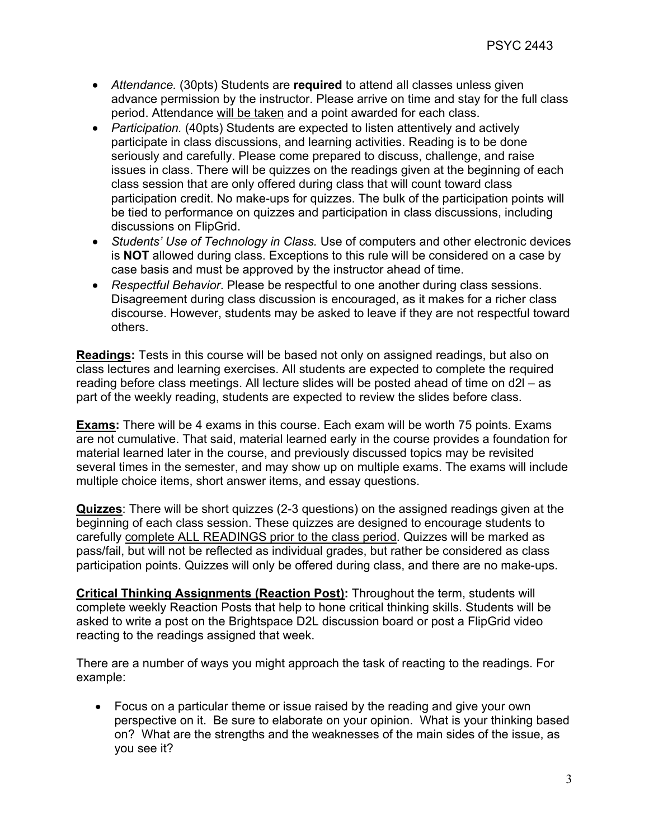- *Attendance.* (30pts) Students are **required** to attend all classes unless given advance permission by the instructor. Please arrive on time and stay for the full class period. Attendance will be taken and a point awarded for each class.
- *Participation.* (40pts) Students are expected to listen attentively and actively participate in class discussions, and learning activities. Reading is to be done seriously and carefully. Please come prepared to discuss, challenge, and raise issues in class. There will be quizzes on the readings given at the beginning of each class session that are only offered during class that will count toward class participation credit. No make-ups for quizzes. The bulk of the participation points will be tied to performance on quizzes and participation in class discussions, including discussions on FlipGrid.
- *Students' Use of Technology in Class.* Use of computers and other electronic devices is **NOT** allowed during class. Exceptions to this rule will be considered on a case by case basis and must be approved by the instructor ahead of time.
- *Respectful Behavior*. Please be respectful to one another during class sessions. Disagreement during class discussion is encouraged, as it makes for a richer class discourse. However, students may be asked to leave if they are not respectful toward others.

**Readings:** Tests in this course will be based not only on assigned readings, but also on class lectures and learning exercises. All students are expected to complete the required reading before class meetings. All lecture slides will be posted ahead of time on d2l – as part of the weekly reading, students are expected to review the slides before class.

**Exams:** There will be 4 exams in this course. Each exam will be worth 75 points. Exams are not cumulative. That said, material learned early in the course provides a foundation for material learned later in the course, and previously discussed topics may be revisited several times in the semester, and may show up on multiple exams. The exams will include multiple choice items, short answer items, and essay questions.

**Quizzes**: There will be short quizzes (2-3 questions) on the assigned readings given at the beginning of each class session. These quizzes are designed to encourage students to carefully complete ALL READINGS prior to the class period. Quizzes will be marked as pass/fail, but will not be reflected as individual grades, but rather be considered as class participation points. Quizzes will only be offered during class, and there are no make-ups.

**Critical Thinking Assignments (Reaction Post):** Throughout the term, students will complete weekly Reaction Posts that help to hone critical thinking skills. Students will be asked to write a post on the Brightspace D2L discussion board or post a FlipGrid video reacting to the readings assigned that week.

There are a number of ways you might approach the task of reacting to the readings. For example:

• Focus on a particular theme or issue raised by the reading and give your own perspective on it. Be sure to elaborate on your opinion. What is your thinking based on? What are the strengths and the weaknesses of the main sides of the issue, as you see it?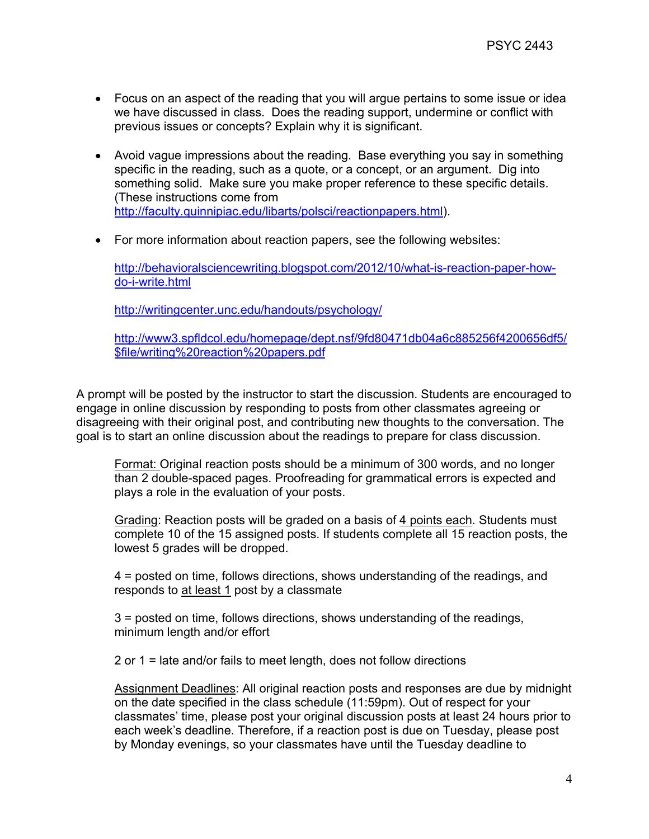- Focus on an aspect of the reading that you will argue pertains to some issue or idea we have discussed in class. Does the reading support, undermine or conflict with previous issues or concepts? Explain why it is significant.
- Avoid vague impressions about the reading. Base everything you say in something specific in the reading, such as a quote, or a concept, or an argument. Dig into something solid. Make sure you make proper reference to these specific details. (These instructions come from [http://faculty.quinnipiac.edu/libarts/polsci/reactionpapers.html\)](http://faculty.quinnipiac.edu/libarts/polsci/reactionpapers.html).
- For more information about reaction papers, see the following websites:

[http://behavioralsciencewriting.blogspot.com/2012/10/what-is-reaction-paper-how](http://behavioralsciencewriting.blogspot.com/2012/10/what-is-reaction-paper-how-do-i-write.html)[do-i-write.html](http://behavioralsciencewriting.blogspot.com/2012/10/what-is-reaction-paper-how-do-i-write.html)

<http://writingcenter.unc.edu/handouts/psychology/>

[http://www3.spfldcol.edu/homepage/dept.nsf/9fd80471db04a6c885256f4200656df5/](http://www3.spfldcol.edu/homepage/dept.nsf/9fd80471db04a6c885256f4200656df5/$file/writing%20reaction%20papers.pdf) [\\$file/writing%20reaction%20papers.pdf](http://www3.spfldcol.edu/homepage/dept.nsf/9fd80471db04a6c885256f4200656df5/$file/writing%20reaction%20papers.pdf)

A prompt will be posted by the instructor to start the discussion. Students are encouraged to engage in online discussion by responding to posts from other classmates agreeing or disagreeing with their original post, and contributing new thoughts to the conversation. The goal is to start an online discussion about the readings to prepare for class discussion.

Format: Original reaction posts should be a minimum of 300 words, and no longer than 2 double-spaced pages. Proofreading for grammatical errors is expected and plays a role in the evaluation of your posts.

Grading: Reaction posts will be graded on a basis of 4 points each. Students must complete 10 of the 15 assigned posts. If students complete all 15 reaction posts, the lowest 5 grades will be dropped.

4 = posted on time, follows directions, shows understanding of the readings, and responds to at least 1 post by a classmate

3 = posted on time, follows directions, shows understanding of the readings, minimum length and/or effort

2 or 1 = late and/or fails to meet length, does not follow directions

Assignment Deadlines: All original reaction posts and responses are due by midnight on the date specified in the class schedule (11:59pm). Out of respect for your classmates' time, please post your original discussion posts at least 24 hours prior to each week's deadline. Therefore, if a reaction post is due on Tuesday, please post by Monday evenings, so your classmates have until the Tuesday deadline to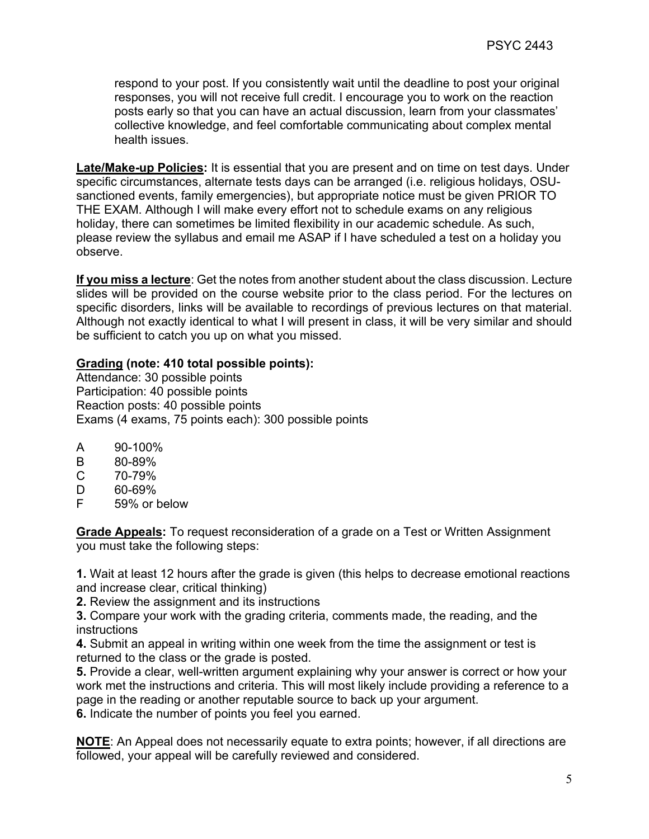respond to your post. If you consistently wait until the deadline to post your original responses, you will not receive full credit. I encourage you to work on the reaction posts early so that you can have an actual discussion, learn from your classmates' collective knowledge, and feel comfortable communicating about complex mental health issues.

**Late/Make-up Policies:** It is essential that you are present and on time on test days. Under specific circumstances, alternate tests days can be arranged (i.e. religious holidays, OSUsanctioned events, family emergencies), but appropriate notice must be given PRIOR TO THE EXAM. Although I will make every effort not to schedule exams on any religious holiday, there can sometimes be limited flexibility in our academic schedule. As such, please review the syllabus and email me ASAP if I have scheduled a test on a holiday you observe.

**If you miss a lecture**: Get the notes from another student about the class discussion. Lecture slides will be provided on the course website prior to the class period. For the lectures on specific disorders, links will be available to recordings of previous lectures on that material. Although not exactly identical to what I will present in class, it will be very similar and should be sufficient to catch you up on what you missed.

### **Grading (note: 410 total possible points):**

Attendance: 30 possible points Participation: 40 possible points Reaction posts: 40 possible points Exams (4 exams, 75 points each): 300 possible points

- 
- A 90-100%<br>B 80-89% B 80-89%<br>C 70-79%
- C 70-79%
- D 60-69%<br>F 59% or l
- 59% or below

**Grade Appeals:** To request reconsideration of a grade on a Test or Written Assignment you must take the following steps:

**1.** Wait at least 12 hours after the grade is given (this helps to decrease emotional reactions and increase clear, critical thinking)

**2.** Review the assignment and its instructions

**3.** Compare your work with the grading criteria, comments made, the reading, and the instructions

**4.** Submit an appeal in writing within one week from the time the assignment or test is returned to the class or the grade is posted.

**5.** Provide a clear, well-written argument explaining why your answer is correct or how your work met the instructions and criteria. This will most likely include providing a reference to a page in the reading or another reputable source to back up your argument. **6.** Indicate the number of points you feel you earned.

**NOTE**: An Appeal does not necessarily equate to extra points; however, if all directions are followed, your appeal will be carefully reviewed and considered.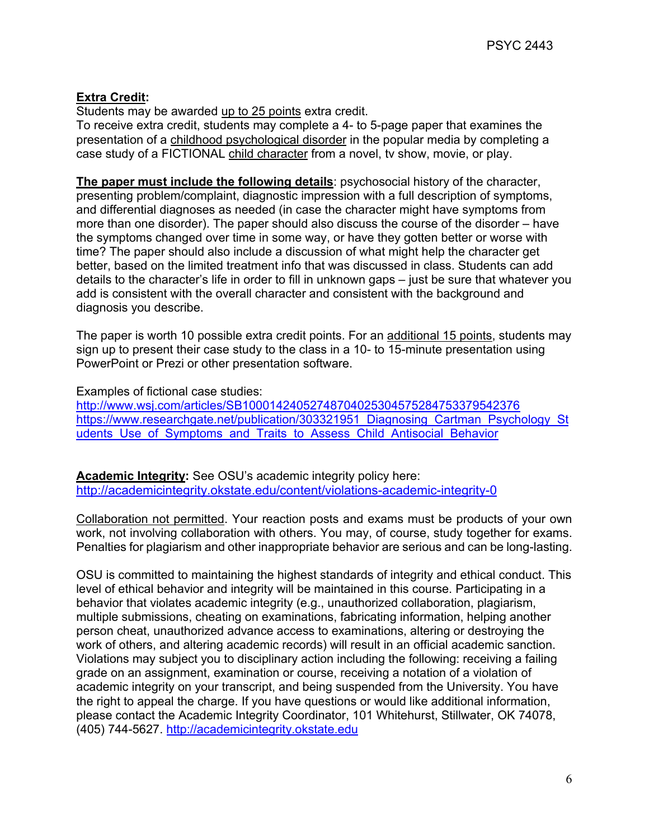## **Extra Credit:**

Students may be awarded up to 25 points extra credit.

To receive extra credit, students may complete a 4- to 5-page paper that examines the presentation of a childhood psychological disorder in the popular media by completing a case study of a FICTIONAL child character from a novel, tv show, movie, or play.

**The paper must include the following details**: psychosocial history of the character, presenting problem/complaint, diagnostic impression with a full description of symptoms, and differential diagnoses as needed (in case the character might have symptoms from more than one disorder). The paper should also discuss the course of the disorder – have the symptoms changed over time in some way, or have they gotten better or worse with time? The paper should also include a discussion of what might help the character get better, based on the limited treatment info that was discussed in class. Students can add details to the character's life in order to fill in unknown gaps – just be sure that whatever you add is consistent with the overall character and consistent with the background and diagnosis you describe.

The paper is worth 10 possible extra credit points. For an additional 15 points, students may sign up to present their case study to the class in a 10- to 15-minute presentation using PowerPoint or Prezi or other presentation software.

Examples of fictional case studies:

<http://www.wsj.com/articles/SB10001424052748704025304575284753379542376> [https://www.researchgate.net/publication/303321951\\_Diagnosing\\_Cartman\\_Psychology\\_St](https://www.researchgate.net/publication/303321951_Diagnosing_Cartman_Psychology_Students_Use_of_Symptoms_and_Traits_to_Assess_Child_Antisocial_Behavior) udents Use of Symptoms and Traits to Assess Child Antisocial Behavior

**Academic Integrity:** See OSU's academic integrity policy here: <http://academicintegrity.okstate.edu/content/violations-academic-integrity-0>

Collaboration not permitted. Your reaction posts and exams must be products of your own work, not involving collaboration with others. You may, of course, study together for exams. Penalties for plagiarism and other inappropriate behavior are serious and can be long-lasting.

OSU is committed to maintaining the highest standards of integrity and ethical conduct. This level of ethical behavior and integrity will be maintained in this course. Participating in a behavior that violates academic integrity (e.g., unauthorized collaboration, plagiarism, multiple submissions, cheating on examinations, fabricating information, helping another person cheat, unauthorized advance access to examinations, altering or destroying the work of others, and altering academic records) will result in an official academic sanction. Violations may subject you to disciplinary action including the following: receiving a failing grade on an assignment, examination or course, receiving a notation of a violation of academic integrity on your transcript, and being suspended from the University. You have the right to appeal the charge. If you have questions or would like additional information, please contact the Academic Integrity Coordinator, 101 Whitehurst, Stillwater, OK 74078, (405) 744-5627. [http://academicintegrity.okstate.edu](http://academicintegrity.okstate.edu/)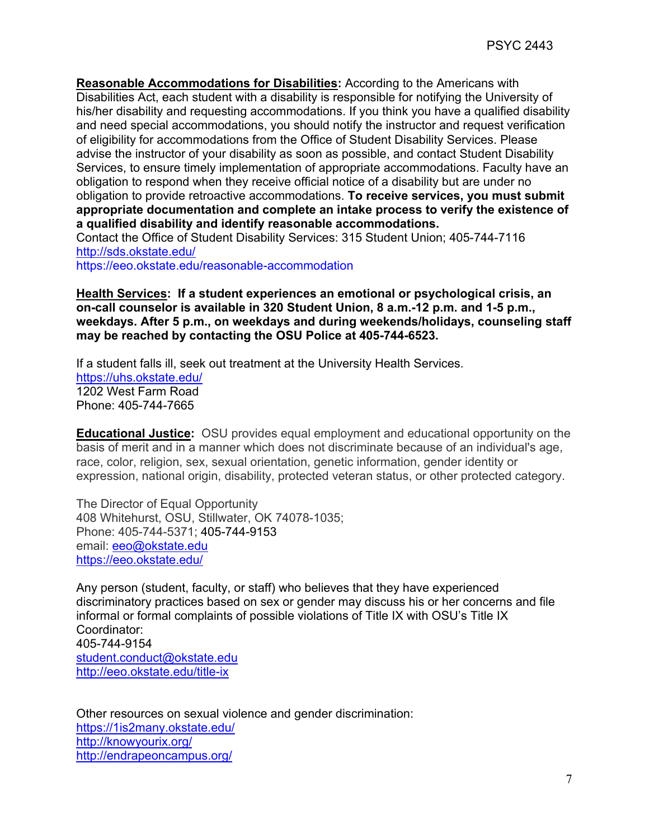**Reasonable Accommodations for Disabilities:** According to the Americans with Disabilities Act, each student with a disability is responsible for notifying the University of his/her disability and requesting accommodations. If you think you have a qualified disability and need special accommodations, you should notify the instructor and request verification of eligibility for accommodations from the Office of Student Disability Services. Please advise the instructor of your disability as soon as possible, and contact Student Disability Services, to ensure timely implementation of appropriate accommodations. Faculty have an obligation to respond when they receive official notice of a disability but are under no obligation to provide retroactive accommodations. **To receive services, you must submit appropriate documentation and complete an intake process to verify the existence of a qualified disability and identify reasonable accommodations.** Contact the Office of Student Disability Services: 315 Student Union; 405-744-7116 <http://sds.okstate.edu/>

<https://eeo.okstate.edu/reasonable-accommodation>

**Health Services: If a student experiences an emotional or psychological crisis, an on-call counselor is available in 320 Student Union, 8 a.m.-12 p.m. and 1-5 p.m., weekdays. After 5 p.m., on weekdays and during weekends/holidays, counseling staff may be reached by contacting the OSU Police at 405-744-6523.**

If a student falls ill, seek out treatment at the University Health Services. <https://uhs.okstate.edu/> 1202 West Farm Road Phone: 405-744-7665

**Educational Justice:** OSU provides equal employment and educational opportunity on the basis of merit and in a manner which does not discriminate because of an individual's age, race, color, religion, sex, sexual orientation, genetic information, gender identity or expression, national origin, disability, protected veteran status, or other protected category.

The Director of Equal Opportunity 408 Whitehurst, OSU, Stillwater, OK 74078-1035; Phone: 405-744-5371; 405-744-9153 email: [eeo@okstate.edu](mailto:eeo@okstate.edu) <https://eeo.okstate.edu/>

Any person (student, faculty, or staff) who believes that they have experienced discriminatory practices based on sex or gender may discuss his or her concerns and file informal or formal complaints of possible violations of Title IX with OSU's Title IX Coordinator: 405-744-9154 [student.conduct@okstate.edu](mailto:student.conduct@okstate.edu) <http://eeo.okstate.edu/title-ix>

Other resources on sexual violence and gender discrimination: <https://1is2many.okstate.edu/> <http://knowyourix.org/> <http://endrapeoncampus.org/>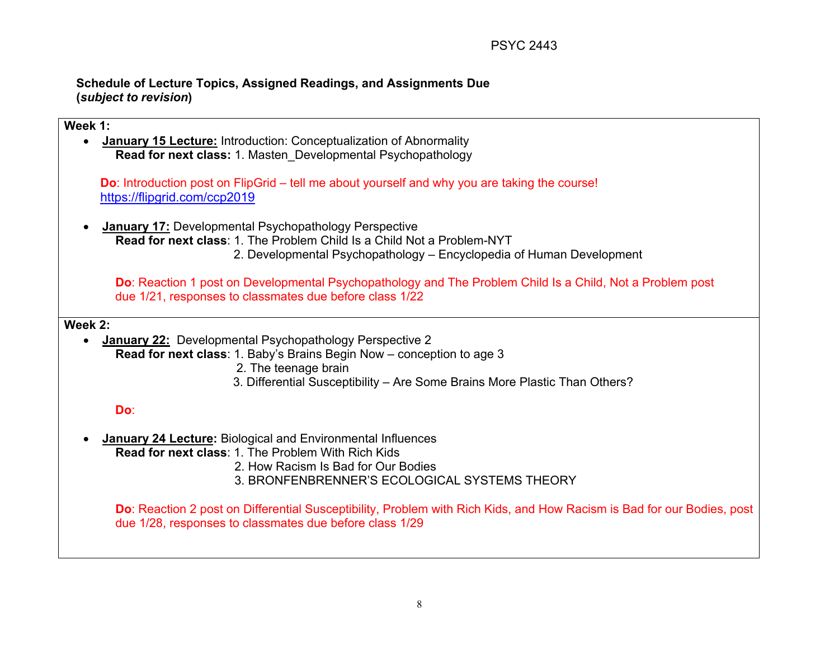### **Schedule of Lecture Topics, Assigned Readings, and Assignments Due (***subject to revision***)**

# **Week 1:**  • **January 15 Lecture:** Introduction: Conceptualization of Abnormality **Read for next class:** 1. Masten\_Developmental Psychopathology **Do**: Introduction post on FlipGrid – tell me about yourself and why you are taking the course! <https://flipgrid.com/ccp2019> • **January 17:** Developmental Psychopathology Perspective **Read for next class**: 1. The Problem Child Is a Child Not a Problem-NYT 2. Developmental Psychopathology – Encyclopedia of Human Development **Do**: Reaction 1 post on Developmental Psychopathology and The Problem Child Is a Child, Not a Problem post due 1/21, responses to classmates due before class 1/22 **Week 2:**  • **January 22:** Developmental Psychopathology Perspective 2 **Read for next class**: 1. Baby's Brains Begin Now – conception to age 3 2. The teenage brain 3. Differential Susceptibility – Are Some Brains More Plastic Than Others? **Do**: • **January 24 Lecture:** Biological and Environmental Influences **Read for next class**: 1. The Problem With Rich Kids 2. How Racism Is Bad for Our Bodies 3. BRONFENBRENNER'S ECOLOGICAL SYSTEMS THEORY **Do**: Reaction 2 post on Differential Susceptibility, Problem with Rich Kids, and How Racism is Bad for our Bodies, post

due 1/28, responses to classmates due before class 1/29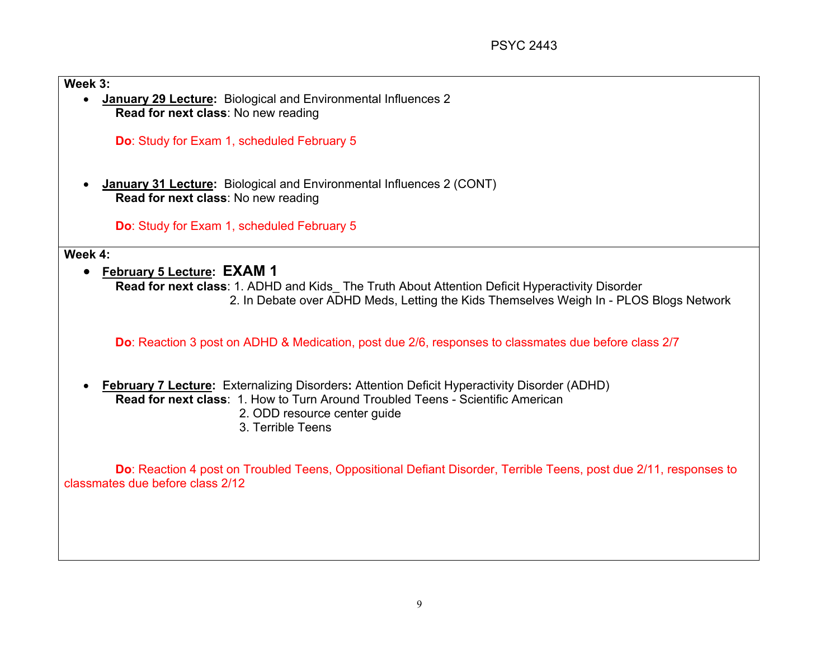### **Week 3:**

• **January 29 Lecture:** Biological and Environmental Influences 2 **Read for next class**: No new reading

**Do**: Study for Exam 1, scheduled February 5

• **January 31 Lecture:** Biological and Environmental Influences 2 (CONT) **Read for next class**: No new reading

**Do**: Study for Exam 1, scheduled February 5

#### **Week 4:**

• **February 5 Lecture: EXAM 1**

**Read for next class**: 1. ADHD and Kids\_ The Truth About Attention Deficit Hyperactivity Disorder 2. In Debate over ADHD Meds, Letting the Kids Themselves Weigh In - PLOS Blogs Network

**Do**: Reaction 3 post on ADHD & Medication, post due 2/6, responses to classmates due before class 2/7

• **February 7 Lecture:** Externalizing Disorders**:** Attention Deficit Hyperactivity Disorder (ADHD) **Read for next class**: 1. How to Turn Around Troubled Teens - Scientific American 2. ODD resource center guide 3. Terrible Teens

**Do**: Reaction 4 post on Troubled Teens, Oppositional Defiant Disorder, Terrible Teens, post due 2/11, responses to classmates due before class 2/12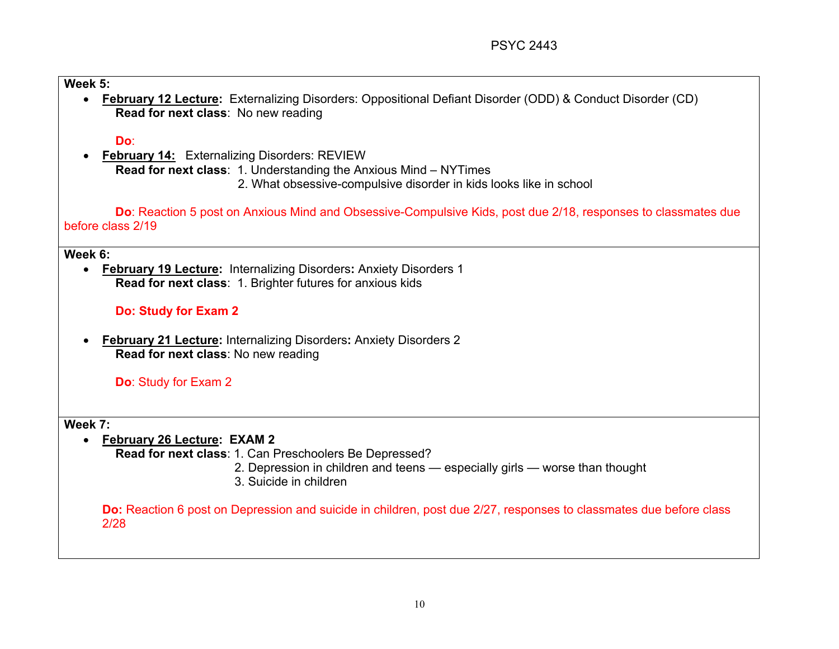### **Week 5:**

• **February 12 Lecture:** Externalizing Disorders: Oppositional Defiant Disorder (ODD) & Conduct Disorder (CD) **Read for next class**: No new reading

### **Do**:

• **February 14:** Externalizing Disorders: REVIEW **Read for next class**: 1. Understanding the Anxious Mind – NYTimes 2. What obsessive-compulsive disorder in kids looks like in school

**Do**: Reaction 5 post on Anxious Mind and Obsessive-Compulsive Kids, post due 2/18, responses to classmates due before class 2/19

#### **Week 6:**

• **February 19 Lecture:** Internalizing Disorders**:** Anxiety Disorders 1 **Read for next class**: 1. Brighter futures for anxious kids

# **Do: Study for Exam 2**

• **February 21 Lecture:** Internalizing Disorders**:** Anxiety Disorders 2 **Read for next class**: No new reading

**Do**: Study for Exam 2

### **Week 7:**

• **February 26 Lecture: EXAM 2**

**Read for next class**: 1. Can Preschoolers Be Depressed?

- 2. Depression in children and teens especially girls worse than thought
- 3. Suicide in children

**Do:** Reaction 6 post on Depression and suicide in children, post due 2/27, responses to classmates due before class 2/28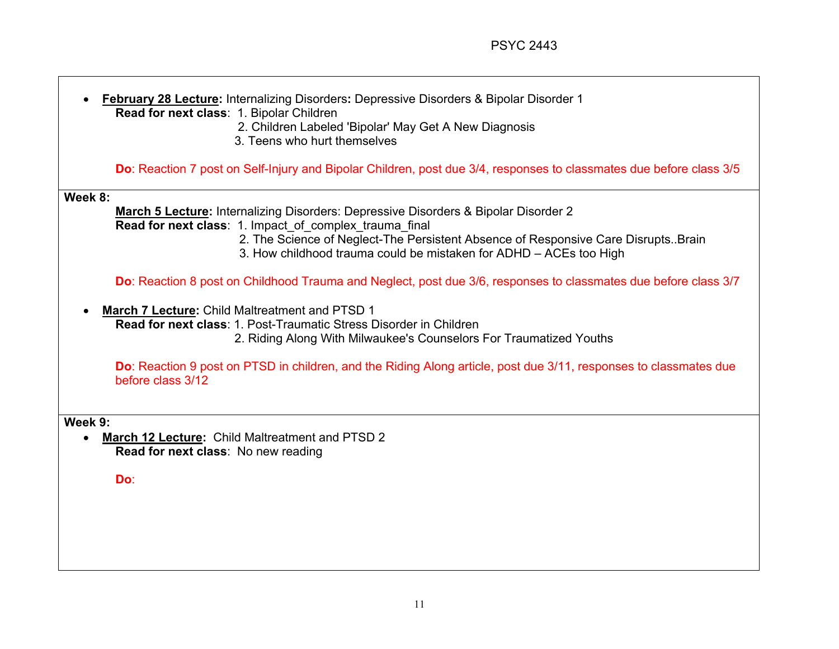┑

| <b>February 28 Lecture:</b> Internalizing Disorders: Depressive Disorders & Bipolar Disorder 1<br>Read for next class: 1. Bipolar Children<br>2. Children Labeled 'Bipolar' May Get A New Diagnosis<br>3. Teens who hurt themselves                                                                                          |  |
|------------------------------------------------------------------------------------------------------------------------------------------------------------------------------------------------------------------------------------------------------------------------------------------------------------------------------|--|
| Do: Reaction 7 post on Self-Injury and Bipolar Children, post due 3/4, responses to classmates due before class 3/5                                                                                                                                                                                                          |  |
| Week 8:<br><b>March 5 Lecture:</b> Internalizing Disorders: Depressive Disorders & Bipolar Disorder 2<br>Read for next class: 1. Impact_of_complex_trauma_final<br>2. The Science of Neglect-The Persistent Absence of Responsive Care Disrupts. Brain<br>3. How childhood trauma could be mistaken for ADHD - ACEs too High |  |
| Do: Reaction 8 post on Childhood Trauma and Neglect, post due 3/6, responses to classmates due before class 3/7                                                                                                                                                                                                              |  |
| March 7 Lecture: Child Maltreatment and PTSD 1<br><b>Read for next class: 1. Post-Traumatic Stress Disorder in Children</b><br>2. Riding Along With Milwaukee's Counselors For Traumatized Youths                                                                                                                            |  |
| Do: Reaction 9 post on PTSD in children, and the Riding Along article, post due 3/11, responses to classmates due<br>before class 3/12                                                                                                                                                                                       |  |
| Week 9:<br><b>March 12 Lecture: Child Maltreatment and PTSD 2</b><br>Read for next class: No new reading<br>Do:                                                                                                                                                                                                              |  |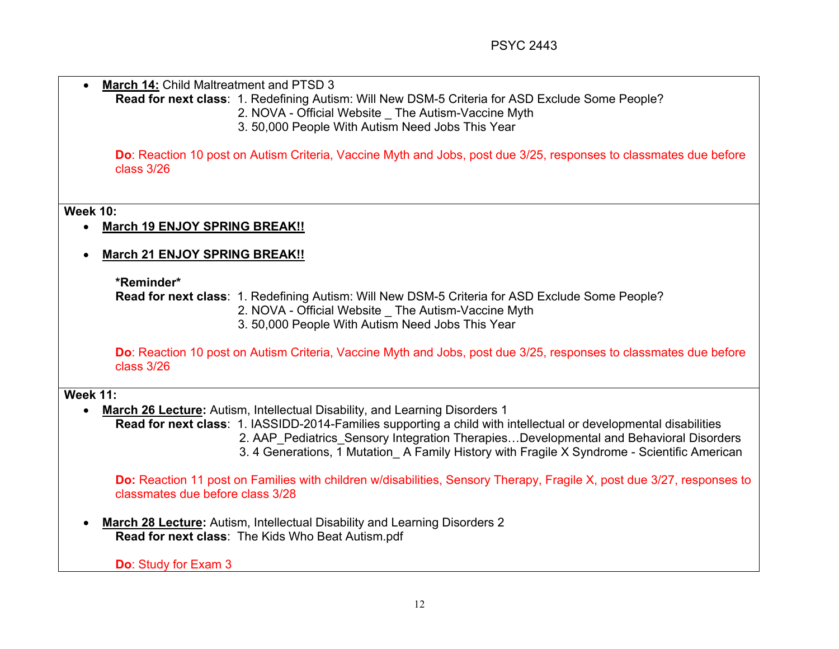| March 14: Child Maltreatment and PTSD 3 |                                                                                                                                                                                                                                                                                                          |
|-----------------------------------------|----------------------------------------------------------------------------------------------------------------------------------------------------------------------------------------------------------------------------------------------------------------------------------------------------------|
|                                         | Read for next class: 1. Redefining Autism: Will New DSM-5 Criteria for ASD Exclude Some People?                                                                                                                                                                                                          |
|                                         | 2. NOVA - Official Website _ The Autism-Vaccine Myth                                                                                                                                                                                                                                                     |
|                                         | 3.50,000 People With Autism Need Jobs This Year                                                                                                                                                                                                                                                          |
| class 3/26                              | Do: Reaction 10 post on Autism Criteria, Vaccine Myth and Jobs, post due 3/25, responses to classmates due before                                                                                                                                                                                        |
| <b>Week 10:</b>                         |                                                                                                                                                                                                                                                                                                          |
| <b>March 19 ENJOY SPRING BREAK!!</b>    |                                                                                                                                                                                                                                                                                                          |
| <b>March 21 ENJOY SPRING BREAK!!</b>    |                                                                                                                                                                                                                                                                                                          |
| *Reminder*                              |                                                                                                                                                                                                                                                                                                          |
|                                         | Read for next class: 1. Redefining Autism: Will New DSM-5 Criteria for ASD Exclude Some People?<br>2. NOVA - Official Website  The Autism-Vaccine Myth<br>3.50,000 People With Autism Need Jobs This Year                                                                                                |
| class 3/26                              | Do: Reaction 10 post on Autism Criteria, Vaccine Myth and Jobs, post due 3/25, responses to classmates due before                                                                                                                                                                                        |
| <b>Week 11:</b>                         |                                                                                                                                                                                                                                                                                                          |
|                                         | <b>March 26 Lecture:</b> Autism, Intellectual Disability, and Learning Disorders 1                                                                                                                                                                                                                       |
|                                         | Read for next class: 1. IASSIDD-2014-Families supporting a child with intellectual or developmental disabilities<br>2. AAP Pediatrics Sensory Integration TherapiesDevelopmental and Behavioral Disorders<br>3. 4 Generations, 1 Mutation A Family History with Fragile X Syndrome - Scientific American |
| classmates due before class 3/28        | Do: Reaction 11 post on Families with children w/disabilities, Sensory Therapy, Fragile X, post due 3/27, responses to                                                                                                                                                                                   |
|                                         | <b>March 28 Lecture:</b> Autism, Intellectual Disability and Learning Disorders 2                                                                                                                                                                                                                        |
|                                         | Read for next class: The Kids Who Beat Autism.pdf                                                                                                                                                                                                                                                        |
| <b>Do: Study for Exam 3</b>             |                                                                                                                                                                                                                                                                                                          |
|                                         |                                                                                                                                                                                                                                                                                                          |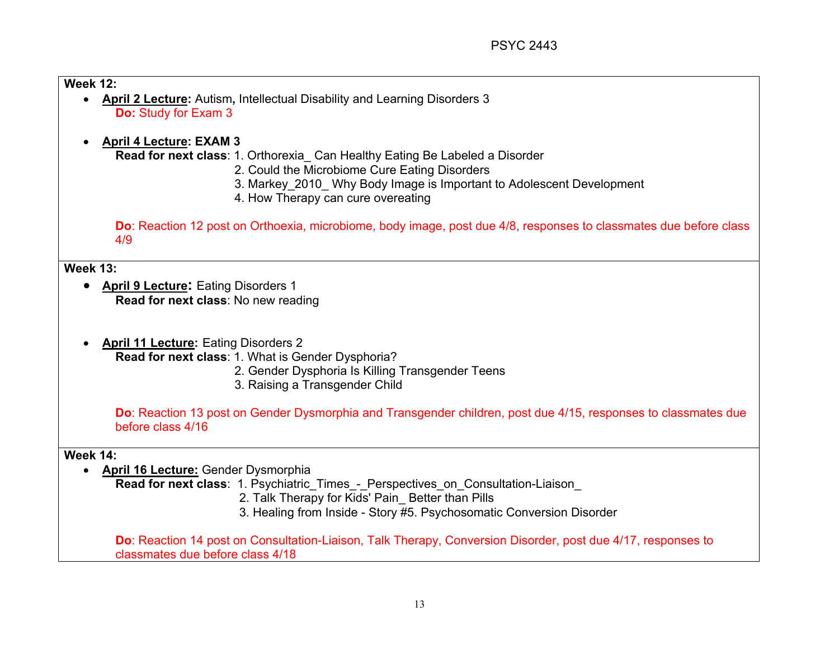**Week 12:** 

- **April 2 Lecture:** Autism**,** Intellectual Disability and Learning Disorders 3 **Do:** Study for Exam 3
- **April 4 Lecture: EXAM 3**

**Read for next class**: 1. Orthorexia\_ Can Healthy Eating Be Labeled a Disorder

- 2. Could the Microbiome Cure Eating Disorders
- 3. Markey\_2010\_ Why Body Image is Important to Adolescent Development
- 4. How Therapy can cure overeating

**Do**: Reaction 12 post on Orthoexia, microbiome, body image, post due 4/8, responses to classmates due before class 4/9

**Week 13:** 

- **April 9 Lecture:** Eating Disorders 1 **Read for next class**: No new reading
- **April 11 Lecture:** Eating Disorders 2

**Read for next class**: 1. What is Gender Dysphoria?

- 2. Gender Dysphoria Is Killing Transgender Teens
- 3. Raising a Transgender Child

**Do**: Reaction 13 post on Gender Dysmorphia and Transgender children, post due 4/15, responses to classmates due before class 4/16

**Week 14:** 

• **April 16 Lecture:** Gender Dysmorphia

**Read for next class**: 1. Psychiatric Times - Perspectives on Consultation-Liaison

- 2. Talk Therapy for Kids' Pain Better than Pills
- 3. Healing from Inside Story #5. Psychosomatic Conversion Disorder

**Do**: Reaction 14 post on Consultation-Liaison, Talk Therapy, Conversion Disorder, post due 4/17, responses to classmates due before class 4/18